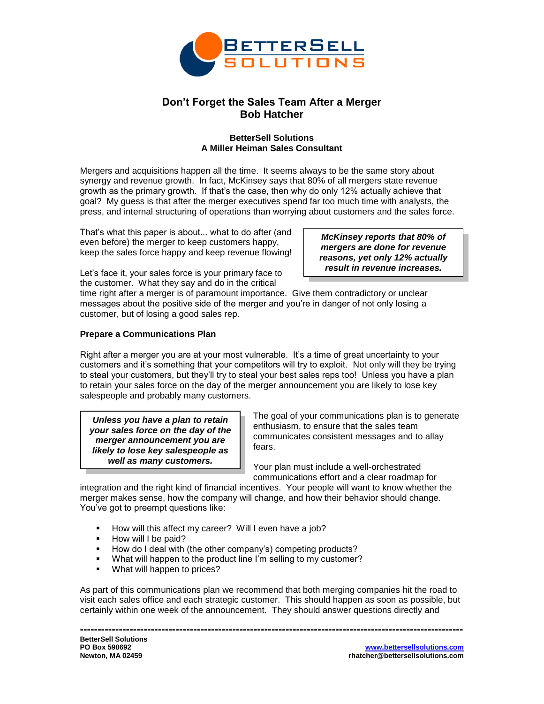

# **Don't Forget the Sales Team After a Merger Bob Hatcher**

### **BetterSell Solutions A Miller Heiman Sales Consultant**

Mergers and acquisitions happen all the time. It seems always to be the same story about synergy and revenue growth. In fact, McKinsey says that 80% of all mergers state revenue growth as the primary growth. If that's the case, then why do only 12% actually achieve that goal? My guess is that after the merger executives spend far too much time with analysts, the press, and internal structuring of operations than worrying about customers and the sales force.

That's what this paper is about... what to do after (and even before) the merger to keep customers happy, keep the sales force happy and keep revenue flowing!

*McKinsey reports that 80% of mergers are done for revenue reasons, yet only 12% actually result in revenue increases.*

Let's face it, your sales force is your primary face to the customer. What they say and do in the critical

time right after a merger is of paramount importance. Give them contradictory or unclear messages about the positive side of the merger and you're in danger of not only losing a customer, but of losing a good sales rep.

## **Prepare a Communications Plan**

Right after a merger you are at your most vulnerable. It's a time of great uncertainty to your customers and it's something that your competitors will try to exploit. Not only will they be trying to steal your customers, but they'll try to steal your best sales reps too! Unless you have a plan to retain your sales force on the day of the merger announcement you are likely to lose key salespeople and probably many customers.

*Unless you have a plan to retain your sales force on the day of the merger announcement you are likely to lose key salespeople as well as many customers.*

The goal of your communications plan is to generate enthusiasm, to ensure that the sales team communicates consistent messages and to allay fears.

Your plan must include a well-orchestrated communications effort and a clear roadmap for

integration and the right kind of financial incentives. Your people will want to know whether the merger makes sense, how the company will change, and how their behavior should change. You've got to preempt questions like:

- How will this affect my career? Will I even have a job?
- **How will I be paid?**
- How do I deal with (the other company's) competing products?
- What will happen to the product line I'm selling to my customer?
- **What will happen to prices?**

As part of this communications plan we recommend that both merging companies hit the road to visit each sales office and each strategic customer. This should happen as soon as possible, but certainly within one week of the announcement. They should answer questions directly and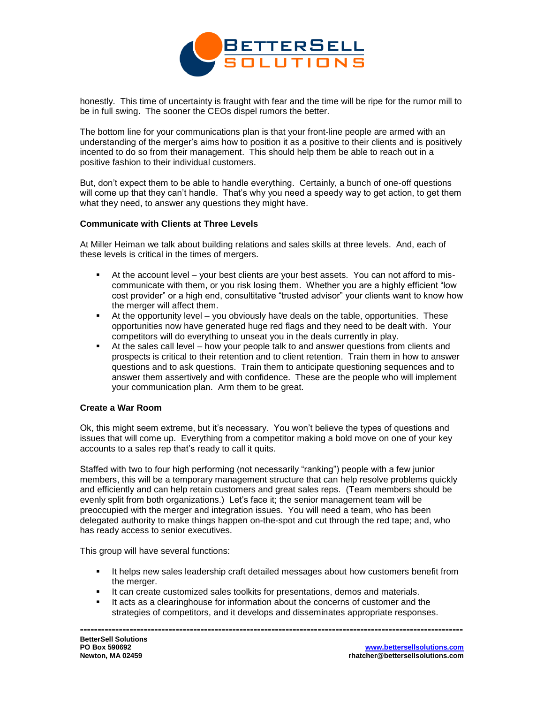

honestly. This time of uncertainty is fraught with fear and the time will be ripe for the rumor mill to be in full swing. The sooner the CEOs dispel rumors the better.

The bottom line for your communications plan is that your front-line people are armed with an understanding of the merger's aims how to position it as a positive to their clients and is positively incented to do so from their management. This should help them be able to reach out in a positive fashion to their individual customers.

But, don't expect them to be able to handle everything. Certainly, a bunch of one-off questions will come up that they can't handle. That's why you need a speedy way to get action, to get them what they need, to answer any questions they might have.

#### **Communicate with Clients at Three Levels**

At Miller Heiman we talk about building relations and sales skills at three levels. And, each of these levels is critical in the times of mergers.

- At the account level your best clients are your best assets. You can not afford to miscommunicate with them, or you risk losing them. Whether you are a highly efficient "low cost provider" or a high end, consultitative "trusted advisor" your clients want to know how the merger will affect them.
- At the opportunity level you obviously have deals on the table, opportunities. These opportunities now have generated huge red flags and they need to be dealt with. Your competitors will do everything to unseat you in the deals currently in play.
- At the sales call level how your people talk to and answer questions from clients and prospects is critical to their retention and to client retention. Train them in how to answer questions and to ask questions. Train them to anticipate questioning sequences and to answer them assertively and with confidence. These are the people who will implement your communication plan. Arm them to be great.

#### **Create a War Room**

Ok, this might seem extreme, but it's necessary. You won't believe the types of questions and issues that will come up. Everything from a competitor making a bold move on one of your key accounts to a sales rep that's ready to call it quits.

Staffed with two to four high performing (not necessarily "ranking") people with a few junior members, this will be a temporary management structure that can help resolve problems quickly and efficiently and can help retain customers and great sales reps. (Team members should be evenly split from both organizations.) Let's face it; the senior management team will be preoccupied with the merger and integration issues. You will need a team, who has been delegated authority to make things happen on-the-spot and cut through the red tape; and, who has ready access to senior executives.

This group will have several functions:

- **If helps new sales leadership craft detailed messages about how customers benefit from** the merger.
- **It can create customized sales toolkits for presentations, demos and materials.**
- It acts as a clearinghouse for information about the concerns of customer and the strategies of competitors, and it develops and disseminates appropriate responses.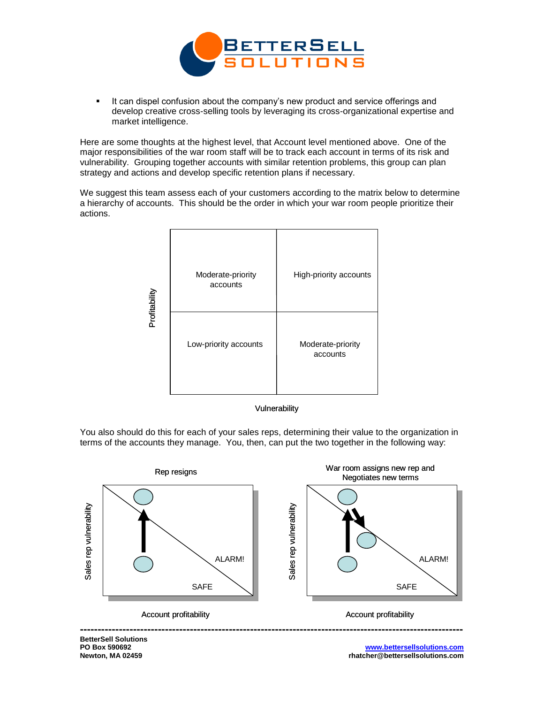

 It can dispel confusion about the company's new product and service offerings and develop creative cross-selling tools by leveraging its cross-organizational expertise and market intelligence.

Here are some thoughts at the highest level, that Account level mentioned above. One of the major responsibilities of the war room staff will be to track each account in terms of its risk and vulnerability. Grouping together accounts with similar retention problems, this group can plan strategy and actions and develop specific retention plans if necessary.

We suggest this team assess each of your customers according to the matrix below to determine a hierarchy of accounts. This should be the order in which your war room people prioritize their actions.





You also should do this for each of your sales reps, determining their value to the organization in terms of the accounts they manage. You, then, can put the two together in the following way:



**BetterSell Solutions PO Box 590692 Newton, MA 02459**

**www.bettersellsolutions.com rhatcher@bettersellsolutions.com**